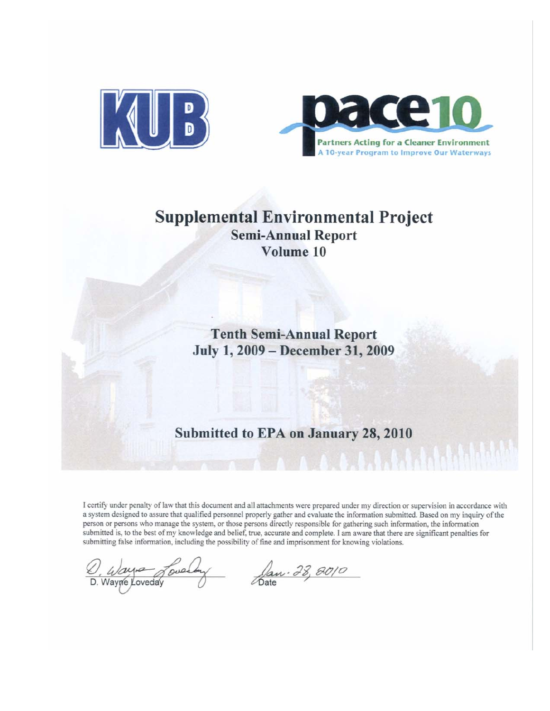



# **Supplemental Environmental Project Semi-Annual Report** Volume 10

**Tenth Semi-Annual Report** July 1, 2009 - December 31, 2009

## Submitted to EPA on January 28, 2010

I certify under penalty of law that this document and all attachments were prepared under my direction or supervision in accordance with a system designed to assure that qualified personnel properly gather and evaluate the information submitted. Based on my inquiry of the person or persons who manage the system, or those persons directly responsible for gathering such information, the information submitted is, to the best of my knowledge and belief, true, accurate and complete. I am aware that there are significant penalties for submitting false information, including the possibility of fine and imprisonment for knowing violations.

D. Wayne Loveday Jan. 28, 8010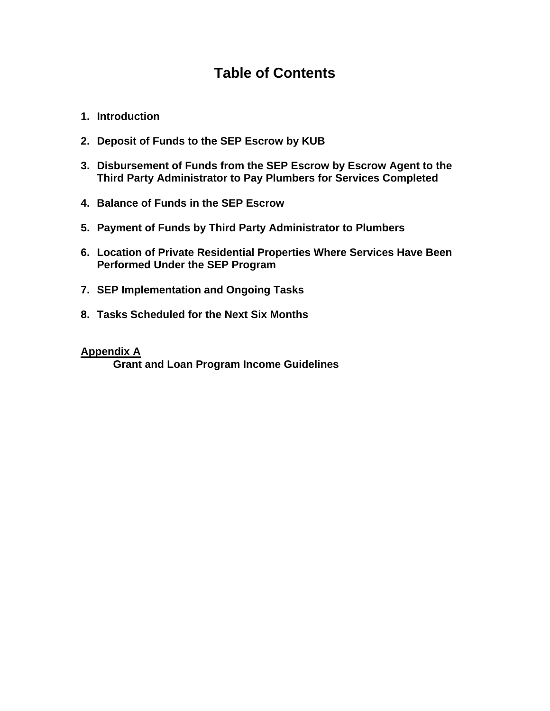# **Table of Contents**

- **1. Introduction**
- **2. Deposit of Funds to the SEP Escrow by KUB**
- **3. Disbursement of Funds from the SEP Escrow by Escrow Agent to the Third Party Administrator to Pay Plumbers for Services Completed**
- **4. Balance of Funds in the SEP Escrow**
- **5. Payment of Funds by Third Party Administrator to Plumbers**
- **6. Location of Private Residential Properties Where Services Have Been Performed Under the SEP Program**
- **7. SEP Implementation and Ongoing Tasks**
- **8. Tasks Scheduled for the Next Six Months**

#### **Appendix A**

 **Grant and Loan Program Income Guidelines**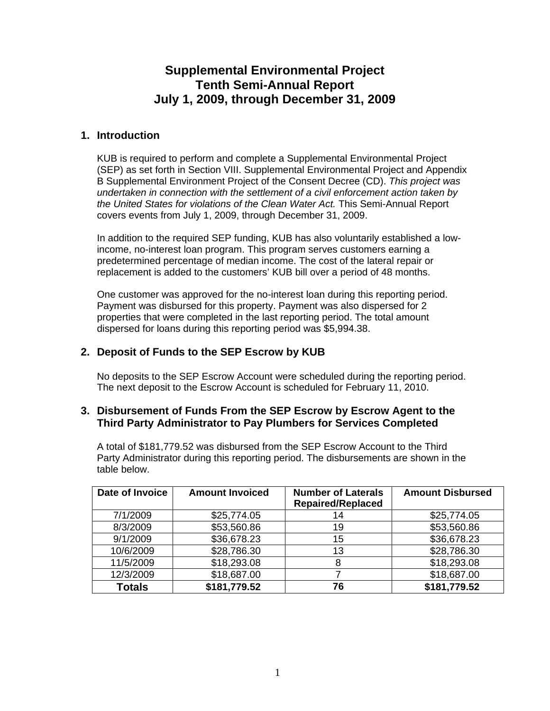## **Supplemental Environmental Project Tenth Semi-Annual Report July 1, 2009, through December 31, 2009**

#### **1. Introduction**

KUB is required to perform and complete a Supplemental Environmental Project (SEP) as set forth in Section VIII. Supplemental Environmental Project and Appendix B Supplemental Environment Project of the Consent Decree (CD). *This project was undertaken in connection with the settlement of a civil enforcement action taken by the United States for violations of the Clean Water Act.* This Semi-Annual Report covers events from July 1, 2009, through December 31, 2009.

In addition to the required SEP funding, KUB has also voluntarily established a lowincome, no-interest loan program. This program serves customers earning a predetermined percentage of median income. The cost of the lateral repair or replacement is added to the customers' KUB bill over a period of 48 months.

One customer was approved for the no-interest loan during this reporting period. Payment was disbursed for this property. Payment was also dispersed for 2 properties that were completed in the last reporting period. The total amount dispersed for loans during this reporting period was \$5,994.38.

#### **2. Deposit of Funds to the SEP Escrow by KUB**

No deposits to the SEP Escrow Account were scheduled during the reporting period. The next deposit to the Escrow Account is scheduled for February 11, 2010.

#### **3. Disbursement of Funds From the SEP Escrow by Escrow Agent to the Third Party Administrator to Pay Plumbers for Services Completed**

A total of \$181,779.52 was disbursed from the SEP Escrow Account to the Third Party Administrator during this reporting period. The disbursements are shown in the table below.

| Date of Invoice | <b>Amount Invoiced</b> | <b>Number of Laterals</b><br><b>Repaired/Replaced</b> | <b>Amount Disbursed</b> |
|-----------------|------------------------|-------------------------------------------------------|-------------------------|
| 7/1/2009        | \$25,774.05            | 14                                                    | \$25,774.05             |
| 8/3/2009        | \$53,560.86            | 19                                                    | \$53,560.86             |
| 9/1/2009        | \$36,678.23            | 15                                                    | \$36,678.23             |
| 10/6/2009       | \$28,786.30            | 13                                                    | \$28,786.30             |
| 11/5/2009       | \$18,293.08            | 8                                                     | \$18,293.08             |
| 12/3/2009       | \$18,687.00            |                                                       | \$18,687.00             |
| <b>Totals</b>   | \$181,779.52           | 76                                                    | \$181,779.52            |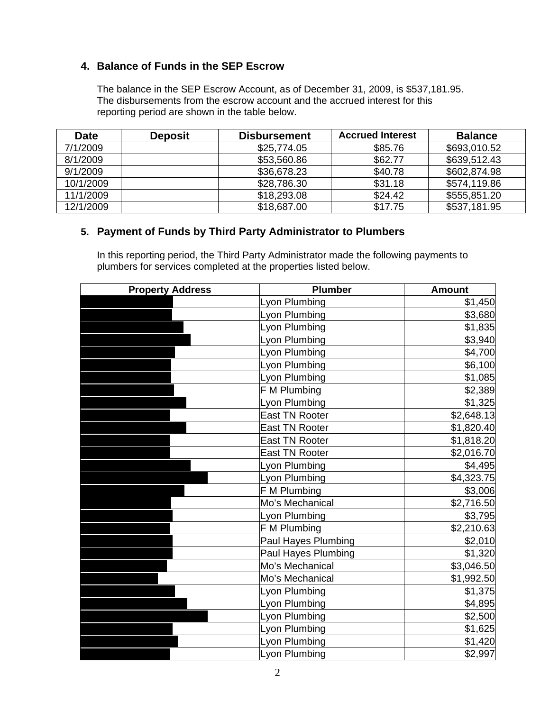#### **4. Balance of Funds in the SEP Escrow**

The balance in the SEP Escrow Account, as of December 31, 2009, is \$537,181.95. The disbursements from the escrow account and the accrued interest for this reporting period are shown in the table below.

| <b>Date</b> | <b>Deposit</b> | <b>Disbursement</b> | <b>Accrued Interest</b> | <b>Balance</b> |
|-------------|----------------|---------------------|-------------------------|----------------|
| 7/1/2009    |                | \$25,774.05         | \$85.76                 | \$693,010.52   |
| 8/1/2009    |                | \$53,560.86         | \$62.77                 | \$639,512.43   |
| 9/1/2009    |                | \$36,678.23         | \$40.78                 | \$602,874.98   |
| 10/1/2009   |                | \$28,786.30         | \$31.18                 | \$574,119.86   |
| 11/1/2009   |                | \$18,293.08         | \$24.42                 | \$555,851.20   |
| 12/1/2009   |                | \$18,687.00         | \$17.75                 | \$537,181.95   |

#### **5. Payment of Funds by Third Party Administrator to Plumbers**

In this reporting period, the Third Party Administrator made the following payments to plumbers for services completed at the properties listed below.

| <b>Property Address</b> | <b>Plumber</b>             | <b>Amount</b> |
|-------------------------|----------------------------|---------------|
|                         | Lyon Plumbing              | \$1,450       |
|                         | Lyon Plumbing              | \$3,680       |
|                         | Lyon Plumbing              | \$1,835       |
|                         | Lyon Plumbing              | \$3,940       |
|                         | Lyon Plumbing              | \$4,700       |
|                         | Lyon Plumbing              | \$6,100       |
|                         | Lyon Plumbing              | \$1,085       |
|                         | F M Plumbing               | \$2,389       |
|                         | Lyon Plumbing              | \$1,325       |
|                         | <b>East TN Rooter</b>      | \$2,648.13    |
|                         | <b>East TN Rooter</b>      | \$1,820.40    |
|                         | <b>East TN Rooter</b>      | \$1,818.20    |
|                         | <b>East TN Rooter</b>      | \$2,016.70    |
|                         | Lyon Plumbing              | \$4,495       |
|                         | Lyon Plumbing              | \$4,323.75    |
|                         | F M Plumbing               | \$3,006       |
|                         | Mo's Mechanical            | \$2,716.50    |
|                         | Lyon Plumbing              | \$3,795       |
|                         | F M Plumbing               | \$2,210.63    |
|                         | <b>Paul Hayes Plumbing</b> | \$2,010       |
|                         | <b>Paul Hayes Plumbing</b> | \$1,320       |
|                         | Mo's Mechanical            | \$3,046.50    |
|                         | Mo's Mechanical            | \$1,992.50    |
|                         | Lyon Plumbing              | \$1,375       |
|                         | Lyon Plumbing              | \$4,895       |
|                         | Lyon Plumbing              | \$2,500       |
|                         | Lyon Plumbing              | \$1,625       |
|                         | Lyon Plumbing              | \$1,420       |
|                         | Lyon Plumbing              | \$2,997       |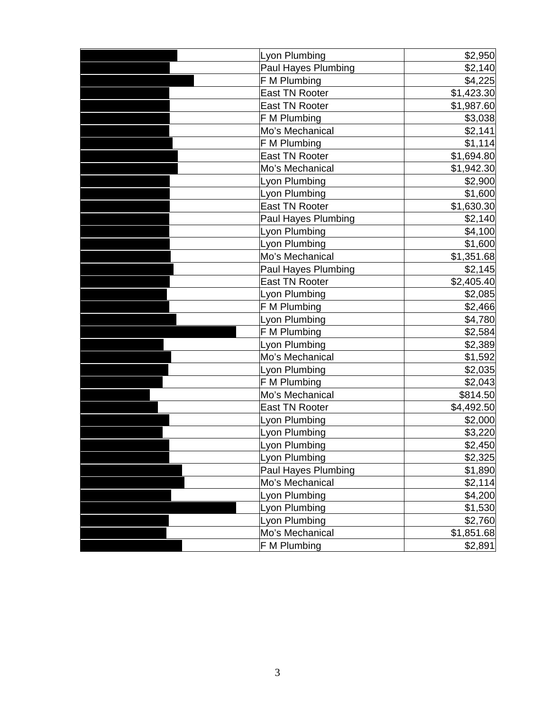| Lyon Plumbing         | \$2,950    |
|-----------------------|------------|
| Paul Hayes Plumbing   | \$2,140    |
| F M Plumbing          | \$4,225    |
| <b>East TN Rooter</b> | \$1,423.30 |
| <b>East TN Rooter</b> | \$1,987.60 |
| F M Plumbing          | \$3,038    |
| Mo's Mechanical       | \$2,141    |
| F M Plumbing          | \$1,114    |
| <b>East TN Rooter</b> | \$1,694.80 |
| Mo's Mechanical       | \$1,942.30 |
| Lyon Plumbing         | \$2,900    |
| Lyon Plumbing         | \$1,600    |
| <b>East TN Rooter</b> | \$1,630.30 |
| Paul Hayes Plumbing   | \$2,140    |
| Lyon Plumbing         | \$4,100    |
| Lyon Plumbing         | \$1,600    |
| Mo's Mechanical       | \$1,351.68 |
| Paul Hayes Plumbing   | \$2,145    |
| <b>East TN Rooter</b> | \$2,405.40 |
| Lyon Plumbing         | \$2,085    |
| F M Plumbing          | \$2,466    |
| Lyon Plumbing         | \$4,780    |
| F M Plumbing          | \$2,584    |
| Lyon Plumbing         | \$2,389    |
| Mo's Mechanical       | \$1,592    |
| Lyon Plumbing         | \$2,035    |
| F M Plumbing          | \$2,043    |
| Mo's Mechanical       | \$814.50   |
| <b>East TN Rooter</b> | \$4,492.50 |
| yon Plumbing          | \$2,000    |
| Lyon Plumbing         | \$3,220    |
| Lyon Plumbing         | \$2,450    |
| Lyon Plumbing         | \$2,325    |
| Paul Hayes Plumbing   | \$1,890    |
| Mo's Mechanical       | \$2,114    |
| Lyon Plumbing         | \$4,200    |
| Lyon Plumbing         | \$1,530    |
| Lyon Plumbing         | \$2,760    |
| Mo's Mechanical       | \$1,851.68 |
| F M Plumbing          | \$2,891    |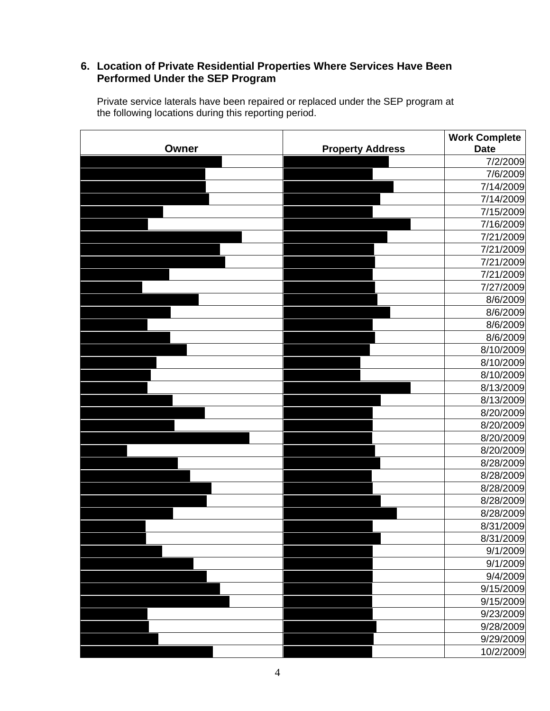### **6. Location of Private Residential Properties Where Services Have Been Performed Under the SEP Program**

Private service laterals have been repaired or replaced under the SEP program at the following locations during this reporting period.

| Owner | <b>Property Address</b> | <b>Work Complete</b><br><b>Date</b> |
|-------|-------------------------|-------------------------------------|
|       |                         | 7/2/2009                            |
|       |                         | 7/6/2009                            |
|       |                         | 7/14/2009                           |
|       |                         | 7/14/2009                           |
|       |                         | 7/15/2009                           |
|       |                         | 7/16/2009                           |
|       |                         | 7/21/2009                           |
|       |                         | 7/21/2009                           |
|       |                         | 7/21/2009                           |
|       |                         | 7/21/2009                           |
|       |                         | 7/27/2009                           |
|       |                         | 8/6/2009                            |
|       |                         | 8/6/2009                            |
|       |                         | 8/6/2009                            |
|       |                         | 8/6/2009                            |
|       |                         | 8/10/2009                           |
|       |                         | 8/10/2009                           |
|       |                         | 8/10/2009                           |
|       |                         | 8/13/2009                           |
|       |                         | 8/13/2009                           |
|       |                         | 8/20/2009                           |
|       |                         | 8/20/2009                           |
|       |                         | 8/20/2009                           |
|       |                         | 8/20/2009                           |
|       |                         | 8/28/2009                           |
|       |                         | 8/28/2009                           |
|       |                         | 8/28/2009                           |
|       |                         | 8/28/2009                           |
|       |                         | 8/28/2009                           |
|       |                         | 8/31/2009                           |
|       |                         | 8/31/2009                           |
|       |                         | 9/1/2009                            |
|       |                         | 9/1/2009                            |
|       |                         | 9/4/2009                            |
|       |                         | 9/15/2009                           |
|       |                         | 9/15/2009                           |
|       |                         | 9/23/2009                           |
|       |                         | 9/28/2009                           |
|       |                         | 9/29/2009                           |
|       |                         | 10/2/2009                           |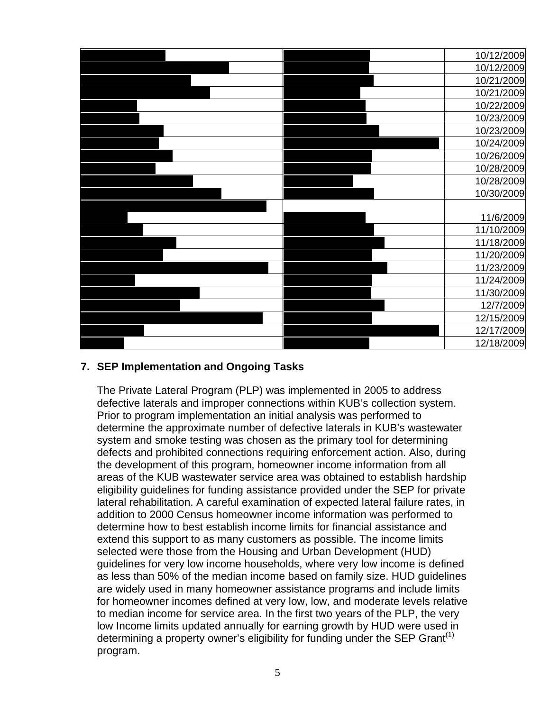|  | 10/12/2009 |
|--|------------|
|  | 10/12/2009 |
|  | 10/21/2009 |
|  | 10/21/2009 |
|  | 10/22/2009 |
|  | 10/23/2009 |
|  | 10/23/2009 |
|  | 10/24/2009 |
|  | 10/26/2009 |
|  | 10/28/2009 |
|  | 10/28/2009 |
|  | 10/30/2009 |
|  |            |
|  | 11/6/2009  |
|  | 11/10/2009 |
|  | 11/18/2009 |
|  | 11/20/2009 |
|  | 11/23/2009 |
|  | 11/24/2009 |
|  | 11/30/2009 |
|  | 12/7/2009  |
|  | 12/15/2009 |
|  |            |
|  | 12/17/2009 |

### **7. SEP Implementation and Ongoing Tasks**

The Private Lateral Program (PLP) was implemented in 2005 to address defective laterals and improper connections within KUB's collection system. Prior to program implementation an initial analysis was performed to determine the approximate number of defective laterals in KUB's wastewater system and smoke testing was chosen as the primary tool for determining defects and prohibited connections requiring enforcement action. Also, during the development of this program, homeowner income information from all areas of the KUB wastewater service area was obtained to establish hardship eligibility guidelines for funding assistance provided under the SEP for private lateral rehabilitation. A careful examination of expected lateral failure rates, in addition to 2000 Census homeowner income information was performed to determine how to best establish income limits for financial assistance and extend this support to as many customers as possible. The income limits selected were those from the Housing and Urban Development (HUD) guidelines for very low income households, where very low income is defined as less than 50% of the median income based on family size. HUD guidelines are widely used in many homeowner assistance programs and include limits for homeowner incomes defined at very low, low, and moderate levels relative to median income for service area. In the first two years of the PLP, the very low Income limits updated annually for earning growth by HUD were used in determining a property owner's eligibility for funding under the SEP Grant<sup>(1)</sup> program.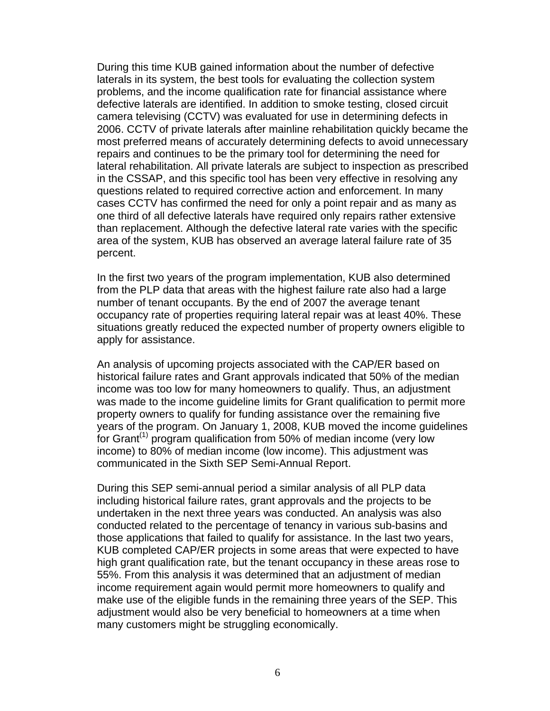During this time KUB gained information about the number of defective laterals in its system, the best tools for evaluating the collection system problems, and the income qualification rate for financial assistance where defective laterals are identified. In addition to smoke testing, closed circuit camera televising (CCTV) was evaluated for use in determining defects in 2006. CCTV of private laterals after mainline rehabilitation quickly became the most preferred means of accurately determining defects to avoid unnecessary repairs and continues to be the primary tool for determining the need for lateral rehabilitation. All private laterals are subject to inspection as prescribed in the CSSAP, and this specific tool has been very effective in resolving any questions related to required corrective action and enforcement. In many cases CCTV has confirmed the need for only a point repair and as many as one third of all defective laterals have required only repairs rather extensive than replacement. Although the defective lateral rate varies with the specific area of the system, KUB has observed an average lateral failure rate of 35 percent.

In the first two years of the program implementation, KUB also determined from the PLP data that areas with the highest failure rate also had a large number of tenant occupants. By the end of 2007 the average tenant occupancy rate of properties requiring lateral repair was at least 40%. These situations greatly reduced the expected number of property owners eligible to apply for assistance.

An analysis of upcoming projects associated with the CAP/ER based on historical failure rates and Grant approvals indicated that 50% of the median income was too low for many homeowners to qualify. Thus, an adjustment was made to the income guideline limits for Grant qualification to permit more property owners to qualify for funding assistance over the remaining five years of the program. On January 1, 2008, KUB moved the income guidelines for Grant<sup>(1)</sup> program qualification from 50% of median income (very low income) to 80% of median income (low income). This adjustment was communicated in the Sixth SEP Semi-Annual Report.

During this SEP semi-annual period a similar analysis of all PLP data including historical failure rates, grant approvals and the projects to be undertaken in the next three years was conducted. An analysis was also conducted related to the percentage of tenancy in various sub-basins and those applications that failed to qualify for assistance. In the last two years, KUB completed CAP/ER projects in some areas that were expected to have high grant qualification rate, but the tenant occupancy in these areas rose to 55%. From this analysis it was determined that an adjustment of median income requirement again would permit more homeowners to qualify and make use of the eligible funds in the remaining three years of the SEP. This adjustment would also be very beneficial to homeowners at a time when many customers might be struggling economically.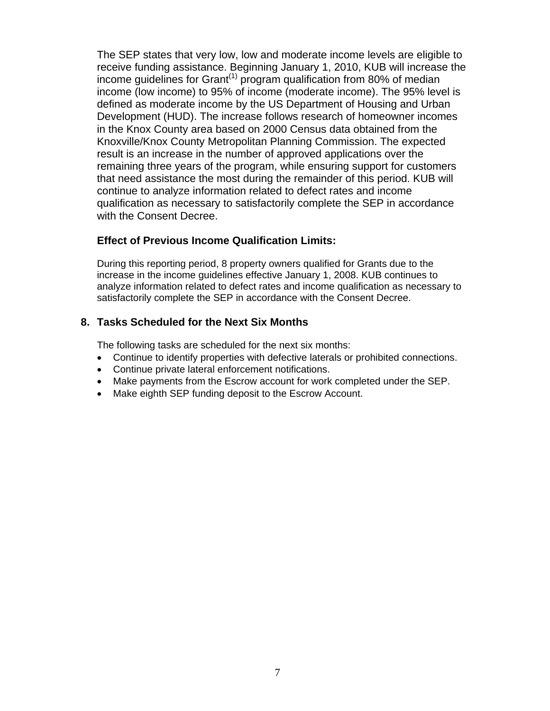The SEP states that very low, low and moderate income levels are eligible to receive funding assistance. Beginning January 1, 2010, KUB will increase the income guidelines for Grant<sup> $(1)$ </sup> program qualification from 80% of median income (low income) to 95% of income (moderate income). The 95% level is defined as moderate income by the US Department of Housing and Urban Development (HUD). The increase follows research of homeowner incomes in the Knox County area based on 2000 Census data obtained from the Knoxville/Knox County Metropolitan Planning Commission. The expected result is an increase in the number of approved applications over the remaining three years of the program, while ensuring support for customers that need assistance the most during the remainder of this period. KUB will continue to analyze information related to defect rates and income qualification as necessary to satisfactorily complete the SEP in accordance with the Consent Decree.

#### **Effect of Previous Income Qualification Limits:**

During this reporting period, 8 property owners qualified for Grants due to the increase in the income guidelines effective January 1, 2008. KUB continues to analyze information related to defect rates and income qualification as necessary to satisfactorily complete the SEP in accordance with the Consent Decree.

#### **8. Tasks Scheduled for the Next Six Months**

The following tasks are scheduled for the next six months:

- Continue to identify properties with defective laterals or prohibited connections.
- Continue private lateral enforcement notifications.
- Make payments from the Escrow account for work completed under the SEP.
- Make eighth SEP funding deposit to the Escrow Account.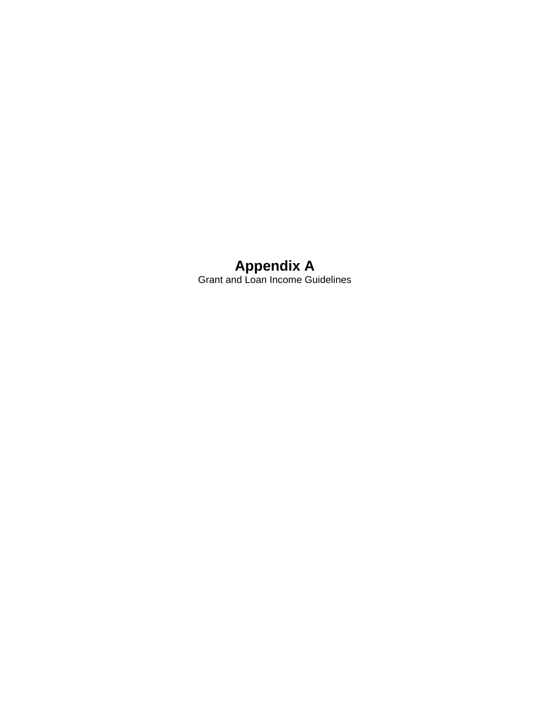### **Appendix A**  Grant and Loan Income Guidelines